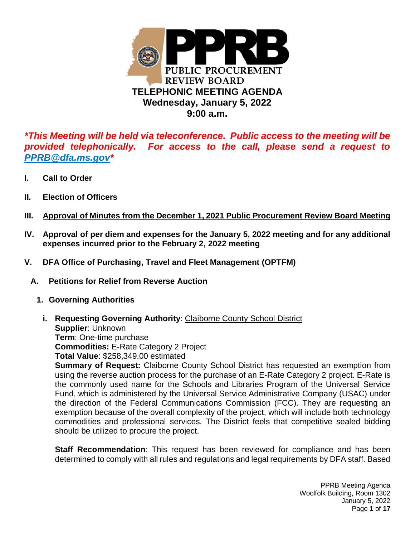

*\*This Meeting will be held via teleconference. Public access to the meeting will be provided telephonically. For access to the call, please send a request to PPRB@dfa.ms.gov\**

- **I. Call to Order**
- **II. Election of Officers**
- **III. Approval of Minutes from the December 1, 2021 Public Procurement Review Board Meeting**
- **IV. Approval of per diem and expenses for the January 5, 2022 meeting and for any additional expenses incurred prior to the February 2, 2022 meeting**
- **V. DFA Office of Purchasing, Travel and Fleet Management (OPTFM)** 
	- **A. Petitions for Relief from Reverse Auction** 
		- **1. Governing Authorities** 
			- **i. Requesting Governing Authority**: Claiborne County School District **Supplier**: Unknown **Term**: One-time purchase **Commodities:** E-Rate Category 2 Project **Total Value**: \$258,349.00 estimated

**Summary of Request:** Claiborne County School District has requested an exemption from using the reverse auction process for the purchase of an E-Rate Category 2 project. E-Rate is the commonly used name for the Schools and Libraries Program of the Universal Service Fund, which is administered by the Universal Service Administrative Company (USAC) under the direction of the Federal Communications Commission (FCC). They are requesting an exemption because of the overall complexity of the project, which will include both technology commodities and professional services. The District feels that competitive sealed bidding should be utilized to procure the project.

**Staff Recommendation**: This request has been reviewed for compliance and has been determined to comply with all rules and regulations and legal requirements by DFA staff. Based

> PPRB Meeting Agenda Woolfolk Building, Room 1302 January 5, 2022 Page **1** of **17**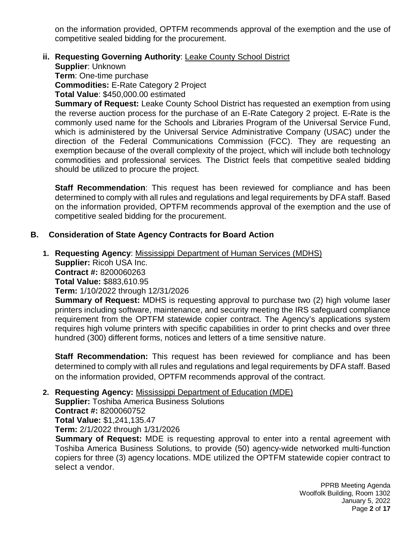on the information provided, OPTFM recommends approval of the exemption and the use of competitive sealed bidding for the procurement.

## **ii. Requesting Governing Authority**: Leake County School District

**Supplier**: Unknown

**Term**: One-time purchase

**Commodities:** E-Rate Category 2 Project

**Total Value**: \$450,000.00 estimated

**Summary of Request:** Leake County School District has requested an exemption from using the reverse auction process for the purchase of an E-Rate Category 2 project. E-Rate is the commonly used name for the Schools and Libraries Program of the Universal Service Fund, which is administered by the Universal Service Administrative Company (USAC) under the direction of the Federal Communications Commission (FCC). They are requesting an exemption because of the overall complexity of the project, which will include both technology commodities and professional services. The District feels that competitive sealed bidding should be utilized to procure the project.

**Staff Recommendation**: This request has been reviewed for compliance and has been determined to comply with all rules and regulations and legal requirements by DFA staff. Based on the information provided, OPTFM recommends approval of the exemption and the use of competitive sealed bidding for the procurement.

### **B. Consideration of State Agency Contracts for Board Action**

**1. Requesting Agency**: Mississippi Department of Human Services (MDHS) **Supplier:** Ricoh USA Inc. **Contract #:** 8200060263 **Total Value:** \$883,610.95 **Term:** 1/10/2022 through 12/31/2026 **Summary of Request:** MDHS is requesting approval to purchase two (2) high volume laser

printers including software, maintenance, and security meeting the IRS safeguard compliance requirement from the OPTFM statewide copier contract. The Agency's applications system requires high volume printers with specific capabilities in order to print checks and over three hundred (300) different forms, notices and letters of a time sensitive nature.

**Staff Recommendation:** This request has been reviewed for compliance and has been determined to comply with all rules and regulations and legal requirements by DFA staff. Based on the information provided, OPTFM recommends approval of the contract.

#### **2. Requesting Agency:** Mississippi Department of Education (MDE)

**Supplier:** Toshiba America Business Solutions **Contract #:** 8200060752 **Total Value:** \$1,241,135.47 **Term:** 2/1/2022 through 1/31/2026

**Summary of Request:** MDE is requesting approval to enter into a rental agreement with Toshiba America Business Solutions, to provide (50) agency-wide networked multi-function copiers for three (3) agency locations. MDE utilized the OPTFM statewide copier contract to select a vendor.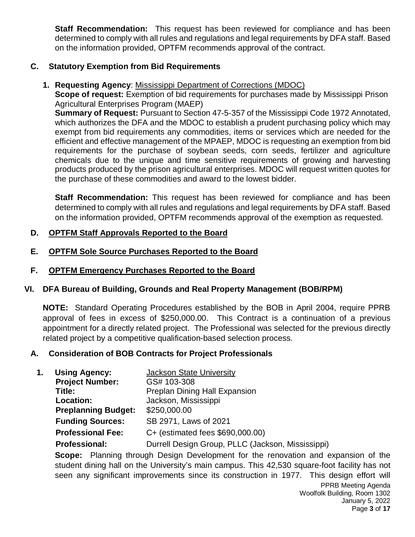**Staff Recommendation:** This request has been reviewed for compliance and has been determined to comply with all rules and regulations and legal requirements by DFA staff. Based on the information provided, OPTFM recommends approval of the contract.

# **C. Statutory Exemption from Bid Requirements**

**1. Requesting Agency**: Mississippi Department of Corrections (MDOC)

**Scope of request:** Exemption of bid requirements for purchases made by Mississippi Prison Agricultural Enterprises Program (MAEP)

**Summary of Request:** Pursuant to Section 47-5-357 of the Mississippi Code 1972 Annotated, which authorizes the DFA and the MDOC to establish a prudent purchasing policy which may exempt from bid requirements any commodities, items or services which are needed for the efficient and effective management of the MPAEP, MDOC is requesting an exemption from bid requirements for the purchase of soybean seeds, corn seeds, fertilizer and agriculture chemicals due to the unique and time sensitive requirements of growing and harvesting products produced by the prison agricultural enterprises. MDOC will request written quotes for the purchase of these commodities and award to the lowest bidder.

**Staff Recommendation:** This request has been reviewed for compliance and has been determined to comply with all rules and regulations and legal requirements by DFA staff. Based on the information provided, OPTFM recommends approval of the exemption as requested.

# **D. OPTFM Staff Approvals Reported to the Board**

- **E. OPTFM Sole Source Purchases Reported to the Board**
- **F. OPTFM Emergency Purchases Reported to the Board**

# **VI. DFA Bureau of Building, Grounds and Real Property Management (BOB/RPM)**

**NOTE:** Standard Operating Procedures established by the BOB in April 2004, require PPRB approval of fees in excess of \$250,000.00. This Contract is a continuation of a previous appointment for a directly related project. The Professional was selected for the previous directly related project by a competitive qualification-based selection process.

# **A. Consideration of BOB Contracts for Project Professionals**

| <b>Using Agency:</b><br>1. |                            | Jackson State University                          |
|----------------------------|----------------------------|---------------------------------------------------|
|                            | <b>Project Number:</b>     | GS# 103-308                                       |
|                            | Title:                     | Preplan Dining Hall Expansion                     |
|                            | Location:                  | Jackson, Mississippi                              |
|                            | <b>Preplanning Budget:</b> | \$250,000.00                                      |
|                            | <b>Funding Sources:</b>    | SB 2971, Laws of 2021                             |
|                            | <b>Professional Fee:</b>   | C+ (estimated fees \$690,000.00)                  |
|                            | <b>Professional:</b>       | Durrell Design Group, PLLC (Jackson, Mississippi) |
|                            |                            |                                                   |

**Scope:** Planning through Design Development for the renovation and expansion of the student dining hall on the University's main campus. This 42,530 square-foot facility has not seen any significant improvements since its construction in 1977. This design effort will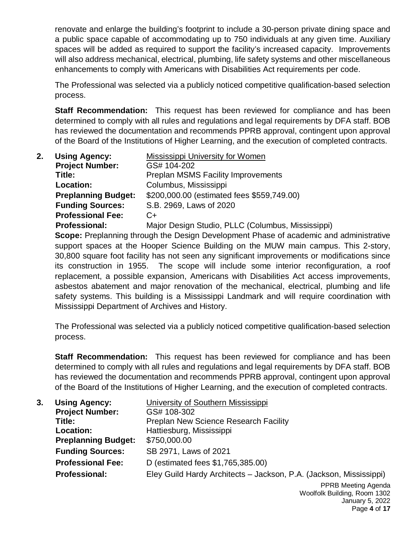renovate and enlarge the building's footprint to include a 30-person private dining space and a public space capable of accommodating up to 750 individuals at any given time. Auxiliary spaces will be added as required to support the facility's increased capacity. Improvements will also address mechanical, electrical, plumbing, life safety systems and other miscellaneous enhancements to comply with Americans with Disabilities Act requirements per code.

The Professional was selected via a publicly noticed competitive qualification-based selection process.

**Staff Recommendation:** This request has been reviewed for compliance and has been determined to comply with all rules and regulations and legal requirements by DFA staff. BOB has reviewed the documentation and recommends PPRB approval, contingent upon approval of the Board of the Institutions of Higher Learning, and the execution of completed contracts.

| 2. | <b>Using Agency:</b>       | Mississippi University for Women                  |
|----|----------------------------|---------------------------------------------------|
|    | <b>Project Number:</b>     | GS# 104-202                                       |
|    | Title:                     | <b>Preplan MSMS Facility Improvements</b>         |
|    | Location:                  | Columbus, Mississippi                             |
|    | <b>Preplanning Budget:</b> | \$200,000.00 (estimated fees \$559,749.00)        |
|    | <b>Funding Sources:</b>    | S.B. 2969, Laws of 2020                           |
|    | <b>Professional Fee:</b>   | $C+$                                              |
|    | <b>Professional:</b>       | Major Design Studio, PLLC (Columbus, Mississippi) |

**Scope:** Preplanning through the Design Development Phase of academic and administrative support spaces at the Hooper Science Building on the MUW main campus. This 2-story, 30,800 square foot facility has not seen any significant improvements or modifications since its construction in 1955. The scope will include some interior reconfiguration, a roof replacement, a possible expansion, Americans with Disabilities Act access improvements, asbestos abatement and major renovation of the mechanical, electrical, plumbing and life safety systems. This building is a Mississippi Landmark and will require coordination with Mississippi Department of Archives and History.

The Professional was selected via a publicly noticed competitive qualification-based selection process.

**Staff Recommendation:** This request has been reviewed for compliance and has been determined to comply with all rules and regulations and legal requirements by DFA staff. BOB has reviewed the documentation and recommends PPRB approval, contingent upon approval of the Board of the Institutions of Higher Learning, and the execution of completed contracts.

| 3. | <b>Using Agency:</b>       | University of Southern Mississippi                                 |
|----|----------------------------|--------------------------------------------------------------------|
|    | <b>Project Number:</b>     | GS# 108-302                                                        |
|    | Title:                     | <b>Preplan New Science Research Facility</b>                       |
|    | Location:                  | Hattiesburg, Mississippi                                           |
|    | <b>Preplanning Budget:</b> | \$750,000.00                                                       |
|    | <b>Funding Sources:</b>    | SB 2971, Laws of 2021                                              |
|    | <b>Professional Fee:</b>   | D (estimated fees \$1,765,385.00)                                  |
|    | <b>Professional:</b>       | Eley Guild Hardy Architects - Jackson, P.A. (Jackson, Mississippi) |
|    |                            | PPRB Meeting Agenda<br>Moolfolk Ruilding Doom 1202                 |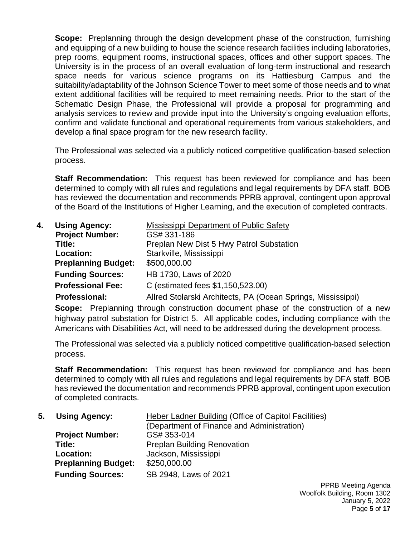**Scope:** Preplanning through the design development phase of the construction, furnishing and equipping of a new building to house the science research facilities including laboratories, prep rooms, equipment rooms, instructional spaces, offices and other support spaces. The University is in the process of an overall evaluation of long-term instructional and research space needs for various science programs on its Hattiesburg Campus and the suitability/adaptability of the Johnson Science Tower to meet some of those needs and to what extent additional facilities will be required to meet remaining needs. Prior to the start of the Schematic Design Phase, the Professional will provide a proposal for programming and analysis services to review and provide input into the University's ongoing evaluation efforts, confirm and validate functional and operational requirements from various stakeholders, and develop a final space program for the new research facility.

The Professional was selected via a publicly noticed competitive qualification-based selection process.

**Staff Recommendation:** This request has been reviewed for compliance and has been determined to comply with all rules and regulations and legal requirements by DFA staff. BOB has reviewed the documentation and recommends PPRB approval, contingent upon approval of the Board of the Institutions of Higher Learning, and the execution of completed contracts.

| <b>Using Agency:</b><br><b>Mississippi Department of Public Safety</b><br>4. |                            |                                                              |
|------------------------------------------------------------------------------|----------------------------|--------------------------------------------------------------|
|                                                                              | <b>Project Number:</b>     | GS# 331-186                                                  |
|                                                                              | Title:                     | Preplan New Dist 5 Hwy Patrol Substation                     |
|                                                                              | Location:                  | Starkville, Mississippi                                      |
|                                                                              | <b>Preplanning Budget:</b> | \$500,000.00                                                 |
|                                                                              | <b>Funding Sources:</b>    | HB 1730, Laws of 2020                                        |
|                                                                              | <b>Professional Fee:</b>   | C (estimated fees \$1,150,523.00)                            |
|                                                                              | <b>Professional:</b>       | Allred Stolarski Architects, PA (Ocean Springs, Mississippi) |

**Scope:** Preplanning through construction document phase of the construction of a new highway patrol substation for District 5. All applicable codes, including compliance with the Americans with Disabilities Act, will need to be addressed during the development process.

The Professional was selected via a publicly noticed competitive qualification-based selection process.

**Staff Recommendation:** This request has been reviewed for compliance and has been determined to comply with all rules and regulations and legal requirements by DFA staff. BOB has reviewed the documentation and recommends PPRB approval, contingent upon execution of completed contracts.

 **5. Using Agency:** Heber Ladner Building (Office of Capitol Facilities) (Department of Finance and Administration) **Project Number:**<br> **Title:**<br> **Preplan Buildi Preplan Building Renovation Location:** Jackson, Mississippi **Preplanning Budget:** \$250,000.00 **Funding Sources:** SB 2948, Laws of 2021

> PPRB Meeting Agenda Woolfolk Building, Room 1302 January 5, 2022 Page **5** of **17**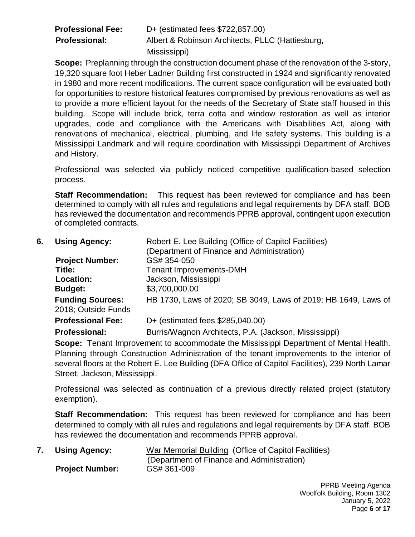| <b>Professional Fee:</b> | D+ (estimated fees \$722,857.00)                 |
|--------------------------|--------------------------------------------------|
| <b>Professional:</b>     | Albert & Robinson Architects, PLLC (Hattiesburg, |
|                          | Mississippi)                                     |

**Scope:** Preplanning through the construction document phase of the renovation of the 3-story, 19,320 square foot Heber Ladner Building first constructed in 1924 and significantly renovated in 1980 and more recent modifications. The current space configuration will be evaluated both for opportunities to restore historical features compromised by previous renovations as well as to provide a more efficient layout for the needs of the Secretary of State staff housed in this building. Scope will include brick, terra cotta and window restoration as well as interior upgrades, code and compliance with the Americans with Disabilities Act, along with renovations of mechanical, electrical, plumbing, and life safety systems. This building is a Mississippi Landmark and will require coordination with Mississippi Department of Archives and History.

Professional was selected via publicly noticed competitive qualification-based selection process.

**Staff Recommendation:** This request has been reviewed for compliance and has been determined to comply with all rules and regulations and legal requirements by DFA staff. BOB has reviewed the documentation and recommends PPRB approval, contingent upon execution of completed contracts.

| 6. | <b>Using Agency:</b>                           | Robert E. Lee Building (Office of Capitol Facilities)          |
|----|------------------------------------------------|----------------------------------------------------------------|
|    |                                                | (Department of Finance and Administration)                     |
|    | <b>Project Number:</b>                         | GS# 354-050                                                    |
|    | Title:                                         | <b>Tenant Improvements-DMH</b>                                 |
|    | Location:                                      | Jackson, Mississippi                                           |
|    | <b>Budget:</b>                                 | \$3,700,000.00                                                 |
|    | <b>Funding Sources:</b><br>2018; Outside Funds | HB 1730, Laws of 2020; SB 3049, Laws of 2019; HB 1649, Laws of |
|    | <b>Professional Fee:</b>                       | D+ (estimated fees \$285,040.00)                               |
|    | <b>Professional:</b>                           | Burris/Wagnon Architects, P.A. (Jackson, Mississippi)          |

**Scope:** Tenant Improvement to accommodate the Mississippi Department of Mental Health. Planning through Construction Administration of the tenant improvements to the interior of several floors at the Robert E. Lee Building (DFA Office of Capitol Facilities), 239 North Lamar Street, Jackson, Mississippi.

Professional was selected as continuation of a previous directly related project (statutory exemption).

**Staff Recommendation:** This request has been reviewed for compliance and has been determined to comply with all rules and regulations and legal requirements by DFA staff. BOB has reviewed the documentation and recommends PPRB approval.

| 7. Using Agency:       | War Memorial Building (Office of Capitol Facilities) |
|------------------------|------------------------------------------------------|
|                        | (Department of Finance and Administration)           |
| <b>Project Number:</b> | GS# 361-009                                          |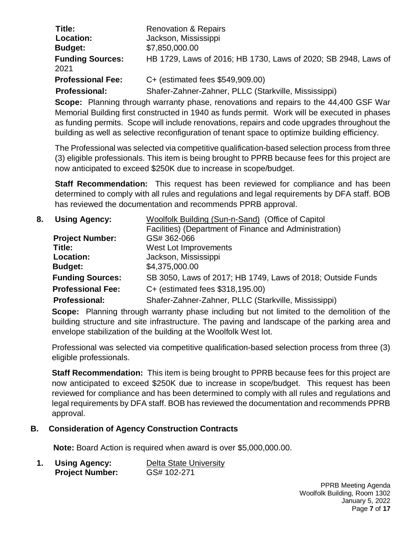| Title:<br>Location:             | <b>Renovation &amp; Repairs</b><br>Jackson, Mississippi        |
|---------------------------------|----------------------------------------------------------------|
| <b>Budget:</b>                  | \$7,850,000.00                                                 |
| <b>Funding Sources:</b><br>2021 | HB 1729, Laws of 2016; HB 1730, Laws of 2020; SB 2948, Laws of |
| <b>Professional Fee:</b>        | C+ (estimated fees \$549,909.00)                               |
| <b>Professional:</b>            | Shafer-Zahner-Zahner, PLLC (Starkville, Mississippi)           |
|                                 |                                                                |

**Scope:** Planning through warranty phase, renovations and repairs to the 44,400 GSF War Memorial Building first constructed in 1940 as funds permit. Work will be executed in phases as funding permits. Scope will include renovations, repairs and code upgrades throughout the building as well as selective reconfiguration of tenant space to optimize building efficiency.

The Professional was selected via competitive qualification-based selection process from three (3) eligible professionals. This item is being brought to PPRB because fees for this project are now anticipated to exceed \$250K due to increase in scope/budget.

**Staff Recommendation:** This request has been reviewed for compliance and has been determined to comply with all rules and regulations and legal requirements by DFA staff. BOB has reviewed the documentation and recommends PPRB approval.

| 8. | <b>Using Agency:</b>     | Woolfolk Building (Sun-n-Sand) (Office of Capitol           |
|----|--------------------------|-------------------------------------------------------------|
|    |                          | Facilities) (Department of Finance and Administration)      |
|    | <b>Project Number:</b>   | GS# 362-066                                                 |
|    | Title:                   | West Lot Improvements                                       |
|    | Location:                | Jackson, Mississippi                                        |
|    | <b>Budget:</b>           | \$4,375,000.00                                              |
|    | <b>Funding Sources:</b>  | SB 3050, Laws of 2017; HB 1749, Laws of 2018; Outside Funds |
|    | <b>Professional Fee:</b> | C+ (estimated fees \$318,195.00)                            |
|    | <b>Professional:</b>     | Shafer-Zahner-Zahner, PLLC (Starkville, Mississippi)        |

**Scope:** Planning through warranty phase including but not limited to the demolition of the building structure and site infrastructure. The paving and landscape of the parking area and envelope stabilization of the building at the Woolfolk West lot.

Professional was selected via competitive qualification-based selection process from three (3) eligible professionals.

**Staff Recommendation:** This item is being brought to PPRB because fees for this project are now anticipated to exceed \$250K due to increase in scope/budget.This request has been reviewed for compliance and has been determined to comply with all rules and regulations and legal requirements by DFA staff. BOB has reviewed the documentation and recommends PPRB approval.

# **B. Consideration of Agency Construction Contracts**

 **Note:** Board Action is required when award is over \$5,000,000.00.

| 1. | <b>Using Agency:</b>   | Delta State University |
|----|------------------------|------------------------|
|    | <b>Project Number:</b> | GS# 102-271            |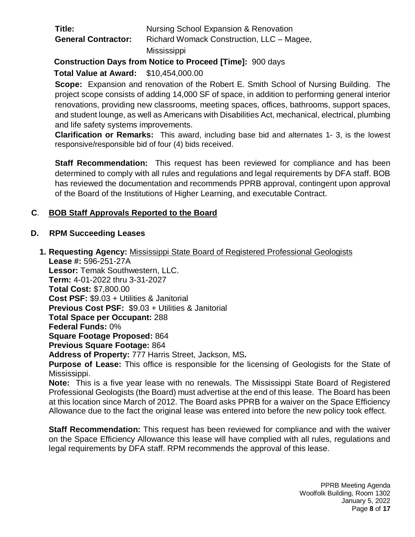| Title:                     | Nursing School Expansion & Renovation     |
|----------------------------|-------------------------------------------|
| <b>General Contractor:</b> | Richard Womack Construction, LLC – Magee, |
|                            | Mississippi                               |

**Construction Days from Notice to Proceed [Time]:** 900 days

**Total Value at Award:** \$10,454,000.00

**Scope:** Expansion and renovation of the Robert E. Smith School of Nursing Building. The project scope consists of adding 14,000 SF of space, in addition to performing general interior renovations, providing new classrooms, meeting spaces, offices, bathrooms, support spaces, and student lounge, as well as Americans with Disabilities Act, mechanical, electrical, plumbing and life safety systems improvements.

**Clarification or Remarks:** This award, including base bid and alternates 1- 3, is the lowest responsive/responsible bid of four (4) bids received.

**Staff Recommendation:** This request has been reviewed for compliance and has been determined to comply with all rules and regulations and legal requirements by DFA staff. BOB has reviewed the documentation and recommends PPRB approval, contingent upon approval of the Board of the Institutions of Higher Learning, and executable Contract.

# **C**. **BOB Staff Approvals Reported to the Board**

# **D. RPM Succeeding Leases**

**1. Requesting Agency:** Mississippi State Board of Registered Professional Geologists  **Lease #:** 596-251-27A  **Lessor:** Temak Southwestern, LLC.

 **Term:** 4-01-2022 thru 3-31-2027  **Total Cost:** \$7,800.00  **Cost PSF:** \$9.03 + Utilities & Janitorial  **Previous Cost PSF:** \$9.03 + Utilities & Janitorial  **Total Space per Occupant:** 288  **Federal Funds:** 0%  **Square Footage Proposed:** 864  **Previous Square Footage:** 864

 **Address of Property:** 777 Harris Street, Jackson, MS**.** 

 **Purpose of Lease:** This office is responsible for the licensing of Geologists for the State of Mississippi.

**Note:** This is a five year lease with no renewals. The Mississippi State Board of Registered Professional Geologists (the Board) must advertise at the end of this lease. The Board has been at this location since March of 2012. The Board asks PPRB for a waiver on the Space Efficiency Allowance due to the fact the original lease was entered into before the new policy took effect.

 **Staff Recommendation:** This request has been reviewed for compliance and with the waiver on the Space Efficiency Allowance this lease will have complied with all rules, regulations and legal requirements by DFA staff. RPM recommends the approval of this lease.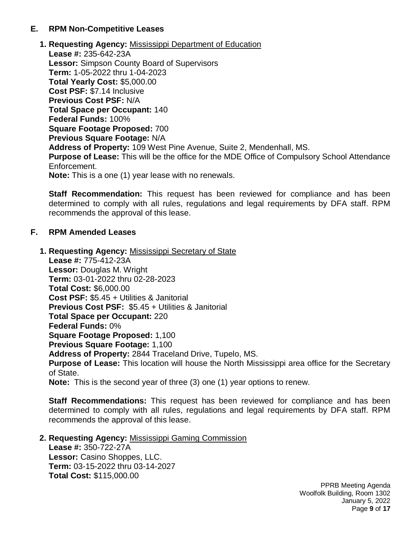## **E. RPM Non-Competitive Leases**

**1. Requesting Agency:** Mississippi Department of Education  **Lease #:** 235-642-23A  **Lessor:** Simpson County Board of Supervisors  **Term:** 1-05-2022 thru 1-04-2023  **Total Yearly Cost:** \$5,000.00  **Cost PSF:** \$7.14 Inclusive  **Previous Cost PSF:** N/A  **Total Space per Occupant:** 140  **Federal Funds:** 100%  **Square Footage Proposed:** 700  **Previous Square Footage:** N/A  **Address of Property:** 109 West Pine Avenue, Suite 2, Mendenhall, MS.  **Purpose of Lease:** This will be the office for the MDE Office of Compulsory School Attendance Enforcement.  **Note:** This is a one (1) year lease with no renewals.

 **Staff Recommendation:** This request has been reviewed for compliance and has been determined to comply with all rules, regulations and legal requirements by DFA staff. RPM recommends the approval of this lease.

# **F. RPM Amended Leases**

**1. Requesting Agency:** Mississippi Secretary of State  **Lease #:** 775-412-23A  **Lessor:** Douglas M. Wright  **Term:** 03-01-2022 thru 02-28-2023  **Total Cost:** \$6,000.00  **Cost PSF:** \$5.45 + Utilities & Janitorial  **Previous Cost PSF:** \$5.45 + Utilities & Janitorial  **Total Space per Occupant:** 220  **Federal Funds:** 0%  **Square Footage Proposed:** 1,100  **Previous Square Footage:** 1,100  **Address of Property:** 2844 Traceland Drive, Tupelo, MS.  **Purpose of Lease:** This location will house the North Mississippi area office for the Secretary of State.  **Note:** This is the second year of three (3) one (1) year options to renew.

 **Staff Recommendations:** This request has been reviewed for compliance and has been determined to comply with all rules, regulations and legal requirements by DFA staff. RPM recommends the approval of this lease.

#### **2. Requesting Agency:** Mississippi Gaming Commission

**Lease #:** 350-722-27A **Lessor:** Casino Shoppes, LLC. **Term:** 03-15-2022 thru 03-14-2027 **Total Cost:** \$115,000.00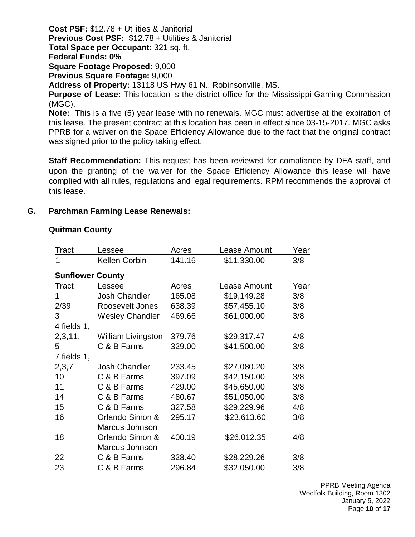**Cost PSF:** \$12.78 + Utilities & Janitorial **Previous Cost PSF:** \$12.78 + Utilities & Janitorial **Total Space per Occupant:** 321 sq. ft. **Federal Funds: 0% Square Footage Proposed:** 9,000 **Previous Square Footage:** 9,000 **Address of Property:** 13118 US Hwy 61 N., Robinsonville, MS. **Purpose of Lease:** This location is the district office for the Mississippi Gaming Commission (MGC). **Note:** This is a five (5) year lease with no renewals. MGC must advertise at the expiration of this lease. The present contract at this location has been in effect since 03-15-2017. MGC asks PPRB for a waiver on the Space Efficiency Allowance due to the fact that the original contract

was signed prior to the policy taking effect.

**Staff Recommendation:** This request has been reviewed for compliance by DFA staff, and upon the granting of the waiver for the Space Efficiency Allowance this lease will have complied with all rules, regulations and legal requirements. RPM recommends the approval of this lease.

# **G. Parchman Farming Lease Renewals:**

# **Quitman County**

| Tract                   | essee.                    | Acres  | Lease Amount | Year |  |  |
|-------------------------|---------------------------|--------|--------------|------|--|--|
| 1                       | <b>Kellen Corbin</b>      | 141.16 | \$11,330.00  | 3/8  |  |  |
| <b>Sunflower County</b> |                           |        |              |      |  |  |
| <b>Tract</b>            | Lessee                    | Acres  | Lease Amount | Year |  |  |
| 1                       | <b>Josh Chandler</b>      | 165.08 | \$19,149.28  | 3/8  |  |  |
| 2/39                    | Roosevelt Jones           | 638.39 | \$57,455.10  | 3/8  |  |  |
| 3                       | <b>Wesley Chandler</b>    | 469.66 | \$61,000.00  | 3/8  |  |  |
| 4 fields 1,             |                           |        |              |      |  |  |
| 2,3,11.                 | <b>William Livingston</b> | 379.76 | \$29,317.47  | 4/8  |  |  |
| 5                       | C & B Farms               | 329.00 | \$41,500.00  | 3/8  |  |  |
| 7 fields 1,             |                           |        |              |      |  |  |
| 2,3,7                   | <b>Josh Chandler</b>      | 233.45 | \$27,080.20  | 3/8  |  |  |
| 10                      | C & B Farms               | 397.09 | \$42,150.00  | 3/8  |  |  |
| 11                      | C & B Farms               | 429.00 | \$45,650.00  | 3/8  |  |  |
| 14                      | C & B Farms               | 480.67 | \$51,050.00  | 3/8  |  |  |
| 15                      | C & B Farms               | 327.58 | \$29,229.96  | 4/8  |  |  |
| 16                      | Orlando Simon &           | 295.17 | \$23,613.60  | 3/8  |  |  |
|                         | Marcus Johnson            |        |              |      |  |  |
| 18                      | Orlando Simon &           | 400.19 | \$26,012.35  | 4/8  |  |  |
|                         | Marcus Johnson            |        |              |      |  |  |
| 22                      | C & B Farms               | 328.40 | \$28,229.26  | 3/8  |  |  |
| 23                      | C & B Farms               | 296.84 | \$32,050.00  | 3/8  |  |  |

PPRB Meeting Agenda Woolfolk Building, Room 1302 January 5, 2022 Page **10** of **17**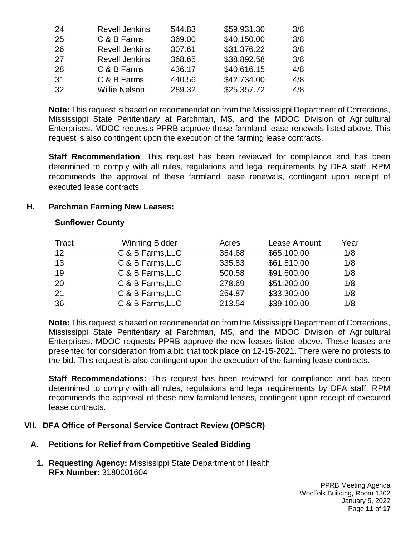| 24 | <b>Revell Jenkins</b> | 544.83 | \$59,931.30 | 3/8 |
|----|-----------------------|--------|-------------|-----|
| 25 | C & B Farms           | 369.00 | \$40,150.00 | 3/8 |
| 26 | <b>Revell Jenkins</b> | 307.61 | \$31,376.22 | 3/8 |
| 27 | <b>Revell Jenkins</b> | 368.65 | \$38,892.58 | 3/8 |
| 28 | C & B Farms           | 436.17 | \$40,616.15 | 4/8 |
| 31 | C & B Farms           | 440.56 | \$42,734.00 | 4/8 |
| 32 | <b>Willie Nelson</b>  | 289.32 | \$25,357.72 | 4/8 |

**Note:** This request is based on recommendation from the Mississippi Department of Corrections, Mississippi State Penitentiary at Parchman, MS, and the MDOC Division of Agricultural Enterprises. MDOC requests PPRB approve these farmland lease renewals listed above. This request is also contingent upon the execution of the farming lease contracts.

**Staff Recommendation**: This request has been reviewed for compliance and has been determined to comply with all rules, regulations and legal requirements by DFA staff. RPM recommends the approval of these farmland lease renewals, contingent upon receipt of executed lease contracts.

#### **H. Parchman Farming New Leases:**

### **Sunflower County**

| Tract | <b>Winning Bidder</b> | Acres  | Lease Amount | Year |
|-------|-----------------------|--------|--------------|------|
| 12    | C & B Farms, LLC      | 354.68 | \$65,100.00  | 1/8  |
| 13    | C & B Farms, LLC      | 335.83 | \$61,510.00  | 1/8  |
| 19    | C & B Farms, LLC      | 500.58 | \$91,600.00  | 1/8  |
| 20    | C & B Farms, LLC      | 278.69 | \$51,200.00  | 1/8  |
| 21    | C & B Farms, LLC      | 254.87 | \$33,300.00  | 1/8  |
| 36    | C & B Farms, LLC      | 213.54 | \$39,100.00  | 1/8  |

**Note:** This request is based on recommendation from the Mississippi Department of Corrections, Mississippi State Penitentiary at Parchman, MS, and the MDOC Division of Agricultural Enterprises. MDOC requests PPRB approve the new leases listed above. These leases are presented for consideration from a bid that took place on 12-15-2021. There were no protests to the bid. This request is also contingent upon the execution of the farming lease contracts.

 **Staff Recommendations:** This request has been reviewed for compliance and has been determined to comply with all rules, regulations and legal requirements by DFA staff. RPM recommends the approval of these new farmland leases, contingent upon receipt of executed lease contracts.

#### **VII. DFA Office of Personal Service Contract Review (OPSCR)**

# **A. Petitions for Relief from Competitive Sealed Bidding**

**1. Requesting Agency:** Mississippi State Department of Health **RFx Number:** 3180001604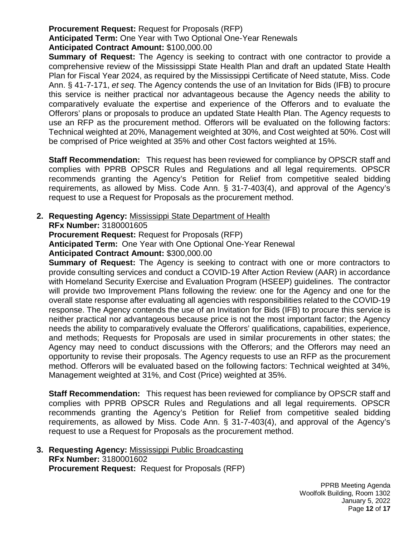#### **Procurement Request:** Request for Proposals (RFP)

**Anticipated Term:** One Year with Two Optional One-Year Renewals

#### **Anticipated Contract Amount:** \$100,000.00

**Summary of Request:** The Agency is seeking to contract with one contractor to provide a comprehensive review of the Mississippi State Health Plan and draft an updated State Health Plan for Fiscal Year 2024, as required by the Mississippi Certificate of Need statute, Miss. Code Ann. § 41-7-171, *et seq*. The Agency contends the use of an Invitation for Bids (IFB) to procure this service is neither practical nor advantageous because the Agency needs the ability to comparatively evaluate the expertise and experience of the Offerors and to evaluate the Offerors' plans or proposals to produce an updated State Health Plan. The Agency requests to use an RFP as the procurement method. Offerors will be evaluated on the following factors: Technical weighted at 20%, Management weighted at 30%, and Cost weighted at 50%. Cost will be comprised of Price weighted at 35% and other Cost factors weighted at 15%.

**Staff Recommendation:** This request has been reviewed for compliance by OPSCR staff and complies with PPRB OPSCR Rules and Regulations and all legal requirements. OPSCR recommends granting the Agency's Petition for Relief from competitive sealed bidding requirements, as allowed by Miss. Code Ann. § 31-7-403(4), and approval of the Agency's request to use a Request for Proposals as the procurement method.

**2. Requesting Agency:** Mississippi State Department of Health

**RFx Number:** 3180001605

**Procurement Request:** Request for Proposals (RFP)

**Anticipated Term:** One Year with One Optional One-Year Renewal

**Anticipated Contract Amount:** \$300,000.00

**Summary of Request:** The Agency is seeking to contract with one or more contractors to provide consulting services and conduct a COVID-19 After Action Review (AAR) in accordance with Homeland Security Exercise and Evaluation Program (HSEEP) guidelines. The contractor will provide two Improvement Plans following the review: one for the Agency and one for the overall state response after evaluating all agencies with responsibilities related to the COVID-19 response. The Agency contends the use of an Invitation for Bids (IFB) to procure this service is neither practical nor advantageous because price is not the most important factor; the Agency needs the ability to comparatively evaluate the Offerors' qualifications, capabilities, experience, and methods; Requests for Proposals are used in similar procurements in other states; the Agency may need to conduct discussions with the Offerors; and the Offerors may need an opportunity to revise their proposals. The Agency requests to use an RFP as the procurement method. Offerors will be evaluated based on the following factors: Technical weighted at 34%, Management weighted at 31%, and Cost (Price) weighted at 35%.

**Staff Recommendation:** This request has been reviewed for compliance by OPSCR staff and complies with PPRB OPSCR Rules and Regulations and all legal requirements. OPSCR recommends granting the Agency's Petition for Relief from competitive sealed bidding requirements, as allowed by Miss. Code Ann. § 31-7-403(4), and approval of the Agency's request to use a Request for Proposals as the procurement method.

**3. Requesting Agency:** Mississippi Public Broadcasting **RFx Number:** 3180001602 **Procurement Request:** Request for Proposals (RFP)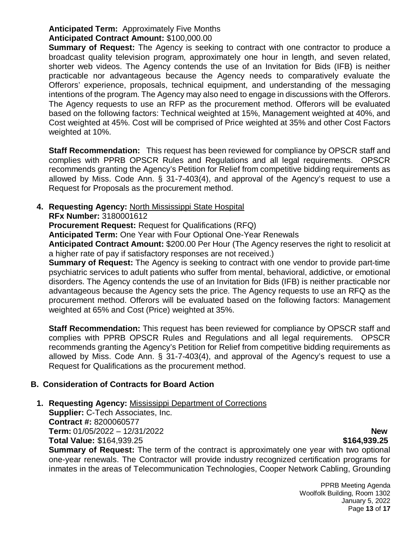# **Anticipated Term:** Approximately Five Months

# **Anticipated Contract Amount:** \$100,000.00

**Summary of Request:** The Agency is seeking to contract with one contractor to produce a broadcast quality television program, approximately one hour in length, and seven related, shorter web videos. The Agency contends the use of an Invitation for Bids (IFB) is neither practicable nor advantageous because the Agency needs to comparatively evaluate the Offerors' experience, proposals, technical equipment, and understanding of the messaging intentions of the program. The Agency may also need to engage in discussions with the Offerors. The Agency requests to use an RFP as the procurement method. Offerors will be evaluated based on the following factors: Technical weighted at 15%, Management weighted at 40%, and Cost weighted at 45%. Cost will be comprised of Price weighted at 35% and other Cost Factors weighted at 10%.

**Staff Recommendation:** This request has been reviewed for compliance by OPSCR staff and complies with PPRB OPSCR Rules and Regulations and all legal requirements. OPSCR recommends granting the Agency's Petition for Relief from competitive bidding requirements as allowed by Miss. Code Ann. § 31-7-403(4), and approval of the Agency's request to use a Request for Proposals as the procurement method.

# **4. Requesting Agency:** North Mississippi State Hospital

**RFx Number:** 3180001612

**Procurement Request:** Request for Qualifications (RFQ)

**Anticipated Term:** One Year with Four Optional One-Year Renewals

**Anticipated Contract Amount:** \$200.00 Per Hour (The Agency reserves the right to resolicit at a higher rate of pay if satisfactory responses are not received.)

**Summary of Request:** The Agency is seeking to contract with one vendor to provide part-time psychiatric services to adult patients who suffer from mental, behavioral, addictive, or emotional disorders. The Agency contends the use of an Invitation for Bids (IFB) is neither practicable nor advantageous because the Agency sets the price. The Agency requests to use an RFQ as the procurement method. Offerors will be evaluated based on the following factors: Management weighted at 65% and Cost (Price) weighted at 35%.

**Staff Recommendation:** This request has been reviewed for compliance by OPSCR staff and complies with PPRB OPSCR Rules and Regulations and all legal requirements. OPSCR recommends granting the Agency's Petition for Relief from competitive bidding requirements as allowed by Miss. Code Ann. § 31-7-403(4), and approval of the Agency's request to use a Request for Qualifications as the procurement method.

# **B. Consideration of Contracts for Board Action**

**1. Requesting Agency:** Mississippi Department of Corrections

**Supplier:** C-Tech Associates, Inc. **Contract #:** 8200060577 **Term:** 01/05/2022 – 12/31/2022 **New Total Value:** \$164,939.25 **\$164,939.25**

**Summary of Request:** The term of the contract is approximately one year with two optional one-year renewals. The Contractor will provide industry recognized certification programs for inmates in the areas of Telecommunication Technologies, Cooper Network Cabling, Grounding

> PPRB Meeting Agenda Woolfolk Building, Room 1302 January 5, 2022 Page **13** of **17**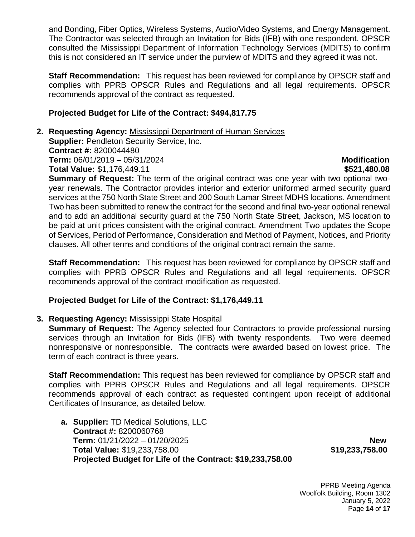and Bonding, Fiber Optics, Wireless Systems, Audio/Video Systems, and Energy Management. The Contractor was selected through an Invitation for Bids (IFB) with one respondent. OPSCR consulted the Mississippi Department of Information Technology Services (MDITS) to confirm this is not considered an IT service under the purview of MDITS and they agreed it was not.

**Staff Recommendation:** This request has been reviewed for compliance by OPSCR staff and complies with PPRB OPSCR Rules and Regulations and all legal requirements. OPSCR recommends approval of the contract as requested.

# **Projected Budget for Life of the Contract: \$494,817.75**

**2. Requesting Agency:** Mississippi Department of Human Services **Supplier: Pendleton Security Service, Inc. Contract #:** 8200044480 **Term:** 06/01/2019 – 05/31/2024 **Modification Total Value:** \$1,176,449.11 **\$521,480.08 \$521,480.08** 

**Summary of Request:** The term of the original contract was one year with two optional twoyear renewals. The Contractor provides interior and exterior uniformed armed security guard services at the 750 North State Street and 200 South Lamar Street MDHS locations. Amendment Two has been submitted to renew the contract for the second and final two-year optional renewal and to add an additional security guard at the 750 North State Street, Jackson, MS location to be paid at unit prices consistent with the original contract. Amendment Two updates the Scope of Services, Period of Performance, Consideration and Method of Payment, Notices, and Priority clauses. All other terms and conditions of the original contract remain the same.

**Staff Recommendation:** This request has been reviewed for compliance by OPSCR staff and complies with PPRB OPSCR Rules and Regulations and all legal requirements. OPSCR recommends approval of the contract modification as requested.

# **Projected Budget for Life of the Contract: \$1,176,449.11**

**3. Requesting Agency:** Mississippi State Hospital

**Summary of Request:** The Agency selected four Contractors to provide professional nursing services through an Invitation for Bids (IFB) with twenty respondents. Two were deemed nonresponsive or nonresponsible. The contracts were awarded based on lowest price. The term of each contract is three years.

**Staff Recommendation:** This request has been reviewed for compliance by OPSCR staff and complies with PPRB OPSCR Rules and Regulations and all legal requirements. OPSCR recommends approval of each contract as requested contingent upon receipt of additional Certificates of Insurance, as detailed below.

**a. Supplier:** TD Medical Solutions, LLC **Contract #:** 8200060768 **Term:** 01/21/2022 – 01/20/2025 **New Total Value:** \$19,233,758.00 **\$19,233,758.00 Projected Budget for Life of the Contract: \$19,233,758.00**

PPRB Meeting Agenda Woolfolk Building, Room 1302 January 5, 2022 Page **14** of **17**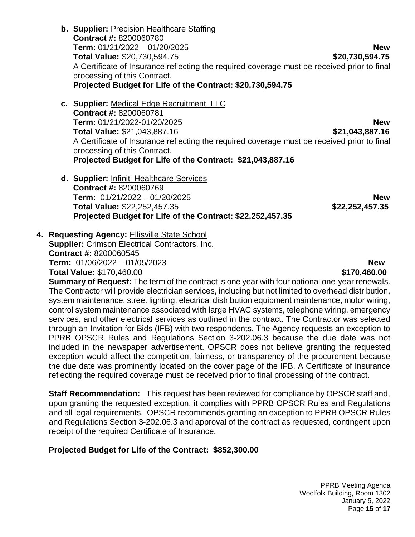- **b. Supplier:** Precision Healthcare Staffing **Contract #:** 8200060780 **Term:** 01/21/2022 – 01/20/2025 **New Total Value:** \$20,730,594.75 **\$20,730,594.75** A Certificate of Insurance reflecting the required coverage must be received prior to final processing of this Contract. **Projected Budget for Life of the Contract: \$20,730,594.75**
- **c. Supplier:** Medical Edge Recruitment, LLC **Contract #:** 8200060781 **Term:** 01/21/2022-01/20/2025 **New Total Value:** \$21,043,887.16 **\$21,043,887.16** A Certificate of Insurance reflecting the required coverage must be received prior to final processing of this Contract. **Projected Budget for Life of the Contract: \$21,043,887.16**
- **d. Supplier:** Infiniti Healthcare Services **Contract #:** 8200060769 **Term:** 01/21/2022 – 01/20/2025 **New Total Value:** \$22,252,457.35 **\$22,252,457.35 Projected Budget for Life of the Contract: \$22,252,457.35**

**4. Requesting Agency: Ellisville State School Supplier:** Crimson Electrical Contractors, Inc. **Contract #:** 8200060545 **Term:** 01/06/2022 – 01/05/2023 **New Total Value:** \$170,460.00 **\$170,460.00** \$170,460.00

**Summary of Request:** The term of the contract is one year with four optional one-year renewals. The Contractor will provide electrician services, including but not limited to overhead distribution, system maintenance, street lighting, electrical distribution equipment maintenance, motor wiring, control system maintenance associated with large HVAC systems, telephone wiring, emergency services, and other electrical services as outlined in the contract. The Contractor was selected through an Invitation for Bids (IFB) with two respondents. The Agency requests an exception to PPRB OPSCR Rules and Regulations Section 3-202.06.3 because the due date was not included in the newspaper advertisement. OPSCR does not believe granting the requested exception would affect the competition, fairness, or transparency of the procurement because the due date was prominently located on the cover page of the IFB. A Certificate of Insurance reflecting the required coverage must be received prior to final processing of the contract.

**Staff Recommendation:** This request has been reviewed for compliance by OPSCR staff and, upon granting the requested exception, it complies with PPRB OPSCR Rules and Regulations and all legal requirements. OPSCR recommends granting an exception to PPRB OPSCR Rules and Regulations Section 3-202.06.3 and approval of the contract as requested, contingent upon receipt of the required Certificate of Insurance.

# **Projected Budget for Life of the Contract: \$852,300.00**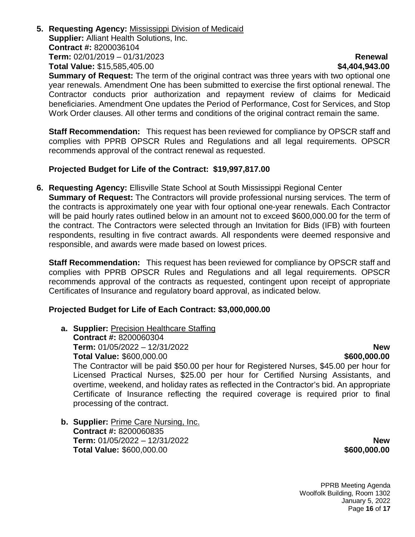**5. Requesting Agency:** Mississippi Division of Medicaid **Supplier:** Alliant Health Solutions, Inc. **Contract #:** 8200036104 **Term:** 02/01/2019 – 01/31/2023 **Renewal Total Value:** \$15,585,405.00 **\$4,404,943.00**

**Summary of Request:** The term of the original contract was three years with two optional one year renewals. Amendment One has been submitted to exercise the first optional renewal. The Contractor conducts prior authorization and repayment review of claims for Medicaid beneficiaries. Amendment One updates the Period of Performance, Cost for Services, and Stop Work Order clauses. All other terms and conditions of the original contract remain the same.

**Staff Recommendation:** This request has been reviewed for compliance by OPSCR staff and complies with PPRB OPSCR Rules and Regulations and all legal requirements. OPSCR recommends approval of the contract renewal as requested.

### **Projected Budget for Life of the Contract: \$19,997,817.00**

**6. Requesting Agency:** Ellisville State School at South Mississippi Regional Center **Summary of Request:** The Contractors will provide professional nursing services. The term of the contracts is approximately one year with four optional one-year renewals. Each Contractor will be paid hourly rates outlined below in an amount not to exceed \$600,000.00 for the term of the contract. The Contractors were selected through an Invitation for Bids (IFB) with fourteen respondents, resulting in five contract awards. All respondents were deemed responsive and responsible, and awards were made based on lowest prices.

**Staff Recommendation:** This request has been reviewed for compliance by OPSCR staff and complies with PPRB OPSCR Rules and Regulations and all legal requirements. OPSCR recommends approval of the contracts as requested, contingent upon receipt of appropriate Certificates of Insurance and regulatory board approval, as indicated below.

# **Projected Budget for Life of Each Contract: \$3,000,000.00**

- **a. Supplier:** Precision Healthcare Staffing **Contract #:** 8200060304 **Term:** 01/05/2022 – 12/31/2022 **New Total Value: \$600,000.00** The Contractor will be paid \$50.00 per hour for Registered Nurses, \$45.00 per hour for Licensed Practical Nurses, \$25.00 per hour for Certified Nursing Assistants, and overtime, weekend, and holiday rates as reflected in the Contractor's bid. An appropriate Certificate of Insurance reflecting the required coverage is required prior to final processing of the contract.
- **b. Supplier:** Prime Care Nursing, Inc. **Contract #:** 8200060835 **Term:** 01/05/2022 – 12/31/2022 **New Total Value:** \$600,000.00 **\$600,000.00**